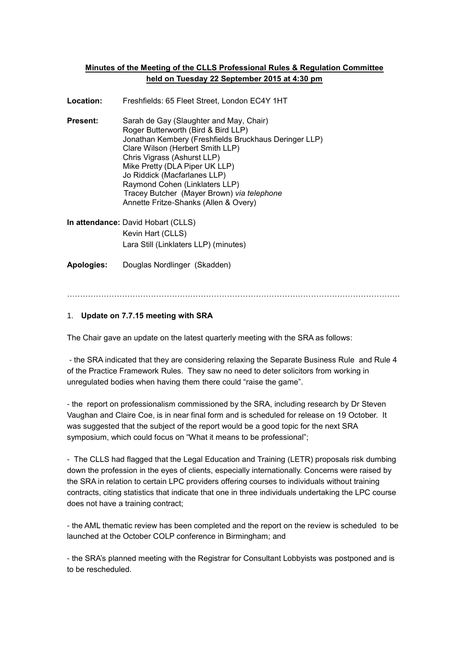## **Minutes of the Meeting of the CLLS Professional Rules & Regulation Committee held on Tuesday 22 September 2015 at 4:30 pm**

**Location:** Freshfields: 65 Fleet Street, London EC4Y 1HT

- **Present:** Sarah de Gay (Slaughter and May, Chair) Roger Butterworth (Bird & Bird LLP) Jonathan Kembery (Freshfields Bruckhaus Deringer LLP) Clare Wilson (Herbert Smith LLP) Chris Vigrass (Ashurst LLP) Mike Pretty (DLA Piper UK LLP) Jo Riddick (Macfarlanes LLP) Raymond Cohen (Linklaters LLP) Tracey Butcher (Mayer Brown) *via telephone* Annette Fritze-Shanks (Allen & Overy)
- **In attendance:** David Hobart (CLLS) Kevin Hart (CLLS) Lara Still (Linklaters LLP) (minutes)

**Apologies:** Douglas Nordlinger (Skadden)

……………………………………………………………………………………………………………….

## 1. **Update on 7.7.15 meeting with SRA**

The Chair gave an update on the latest quarterly meeting with the SRA as follows:

- the SRA indicated that they are considering relaxing the Separate Business Rule and Rule 4 of the Practice Framework Rules. They saw no need to deter solicitors from working in unregulated bodies when having them there could "raise the game".

- the report on professionalism commissioned by the SRA, including research by Dr Steven Vaughan and Claire Coe, is in near final form and is scheduled for release on 19 October. It was suggested that the subject of the report would be a good topic for the next SRA symposium, which could focus on "What it means to be professional";

- The CLLS had flagged that the Legal Education and Training (LETR) proposals risk dumbing down the profession in the eyes of clients, especially internationally. Concerns were raised by the SRA in relation to certain LPC providers offering courses to individuals without training contracts, citing statistics that indicate that one in three individuals undertaking the LPC course does not have a training contract;

- the AML thematic review has been completed and the report on the review is scheduled to be launched at the October COLP conference in Birmingham; and

- the SRA's planned meeting with the Registrar for Consultant Lobbyists was postponed and is to be rescheduled.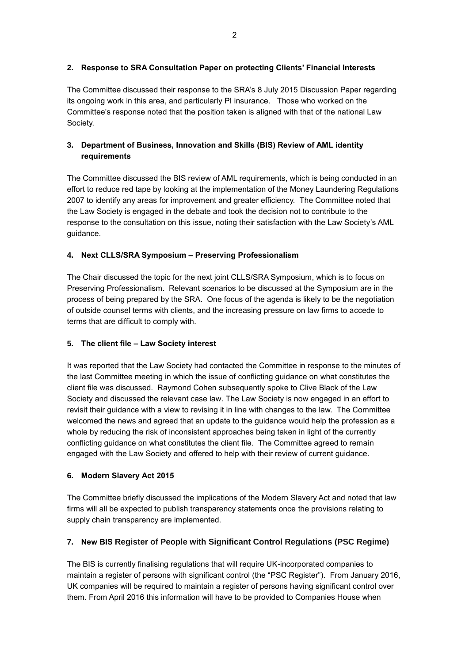## **2. Response to SRA Consultation Paper on protecting Clients' Financial Interests**

The Committee discussed their response to the SRA's 8 July 2015 Discussion Paper regarding its ongoing work in this area, and particularly PI insurance. Those who worked on the Committee's response noted that the position taken is aligned with that of the national Law Society.

# **3. Department of Business, Innovation and Skills (BIS) Review of AML identity requirements**

The Committee discussed the BIS review of AML requirements, which is being conducted in an effort to reduce red tape by looking at the implementation of the Money Laundering Regulations 2007 to identify any areas for improvement and greater efficiency. The Committee noted that the Law Society is engaged in the debate and took the decision not to contribute to the response to the consultation on this issue, noting their satisfaction with the Law Society's AML guidance.

# **4. Next CLLS/SRA Symposium – Preserving Professionalism**

The Chair discussed the topic for the next joint CLLS/SRA Symposium, which is to focus on Preserving Professionalism. Relevant scenarios to be discussed at the Symposium are in the process of being prepared by the SRA. One focus of the agenda is likely to be the negotiation of outside counsel terms with clients, and the increasing pressure on law firms to accede to terms that are difficult to comply with.

## **5. The client file – Law Society interest**

It was reported that the Law Society had contacted the Committee in response to the minutes of the last Committee meeting in which the issue of conflicting guidance on what constitutes the client file was discussed. Raymond Cohen subsequently spoke to Clive Black of the Law Society and discussed the relevant case law. The Law Society is now engaged in an effort to revisit their guidance with a view to revising it in line with changes to the law. The Committee welcomed the news and agreed that an update to the guidance would help the profession as a whole by reducing the risk of inconsistent approaches being taken in light of the currently conflicting guidance on what constitutes the client file. The Committee agreed to remain engaged with the Law Society and offered to help with their review of current guidance.

## **6. Modern Slavery Act 2015**

The Committee briefly discussed the implications of the Modern Slavery Act and noted that law firms will all be expected to publish transparency statements once the provisions relating to supply chain transparency are implemented.

# **7. New BIS Register of People with Significant Control Regulations (PSC Regime)**

The BIS is currently finalising regulations that will require UK-incorporated companies to maintain a register of persons with significant control (the "PSC Register"). From January 2016, UK companies will be required to maintain a register of persons having significant control over them. From April 2016 this information will have to be provided to Companies House when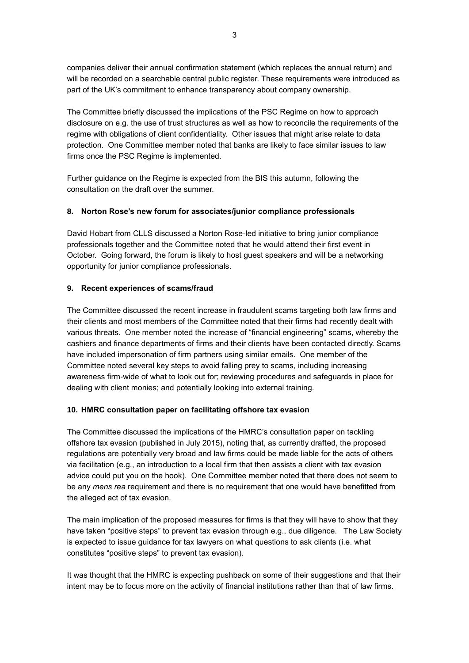companies deliver their annual confirmation statement (which replaces the annual return) and will be recorded on a searchable central public register. These requirements were introduced as part of the UK's commitment to enhance transparency about company ownership.

The Committee briefly discussed the implications of the PSC Regime on how to approach disclosure on e.g. the use of trust structures as well as how to reconcile the requirements of the regime with obligations of client confidentiality. Other issues that might arise relate to data protection. One Committee member noted that banks are likely to face similar issues to law firms once the PSC Regime is implemented.

Further guidance on the Regime is expected from the BIS this autumn, following the consultation on the draft over the summer.

## **8. Norton Rose's new forum for associates/junior compliance professionals**

David Hobart from CLLS discussed a Norton Rose-led initiative to bring junior compliance professionals together and the Committee noted that he would attend their first event in October. Going forward, the forum is likely to host guest speakers and will be a networking opportunity for junior compliance professionals.

## **9. Recent experiences of scams/fraud**

The Committee discussed the recent increase in fraudulent scams targeting both law firms and their clients and most members of the Committee noted that their firms had recently dealt with various threats. One member noted the increase of "financial engineering" scams, whereby the cashiers and finance departments of firms and their clients have been contacted directly. Scams have included impersonation of firm partners using similar emails. One member of the Committee noted several key steps to avoid falling prey to scams, including increasing awareness firm-wide of what to look out for; reviewing procedures and safeguards in place for dealing with client monies; and potentially looking into external training.

### **10. HMRC consultation paper on facilitating offshore tax evasion**

The Committee discussed the implications of the HMRC's consultation paper on tackling offshore tax evasion (published in July 2015), noting that, as currently drafted, the proposed regulations are potentially very broad and law firms could be made liable for the acts of others via facilitation (e.g., an introduction to a local firm that then assists a client with tax evasion advice could put you on the hook). One Committee member noted that there does not seem to be any *mens rea* requirement and there is no requirement that one would have benefitted from the alleged act of tax evasion.

The main implication of the proposed measures for firms is that they will have to show that they have taken "positive steps" to prevent tax evasion through e.g., due diligence. The Law Society is expected to issue guidance for tax lawyers on what questions to ask clients (i.e. what constitutes "positive steps" to prevent tax evasion).

It was thought that the HMRC is expecting pushback on some of their suggestions and that their intent may be to focus more on the activity of financial institutions rather than that of law firms.